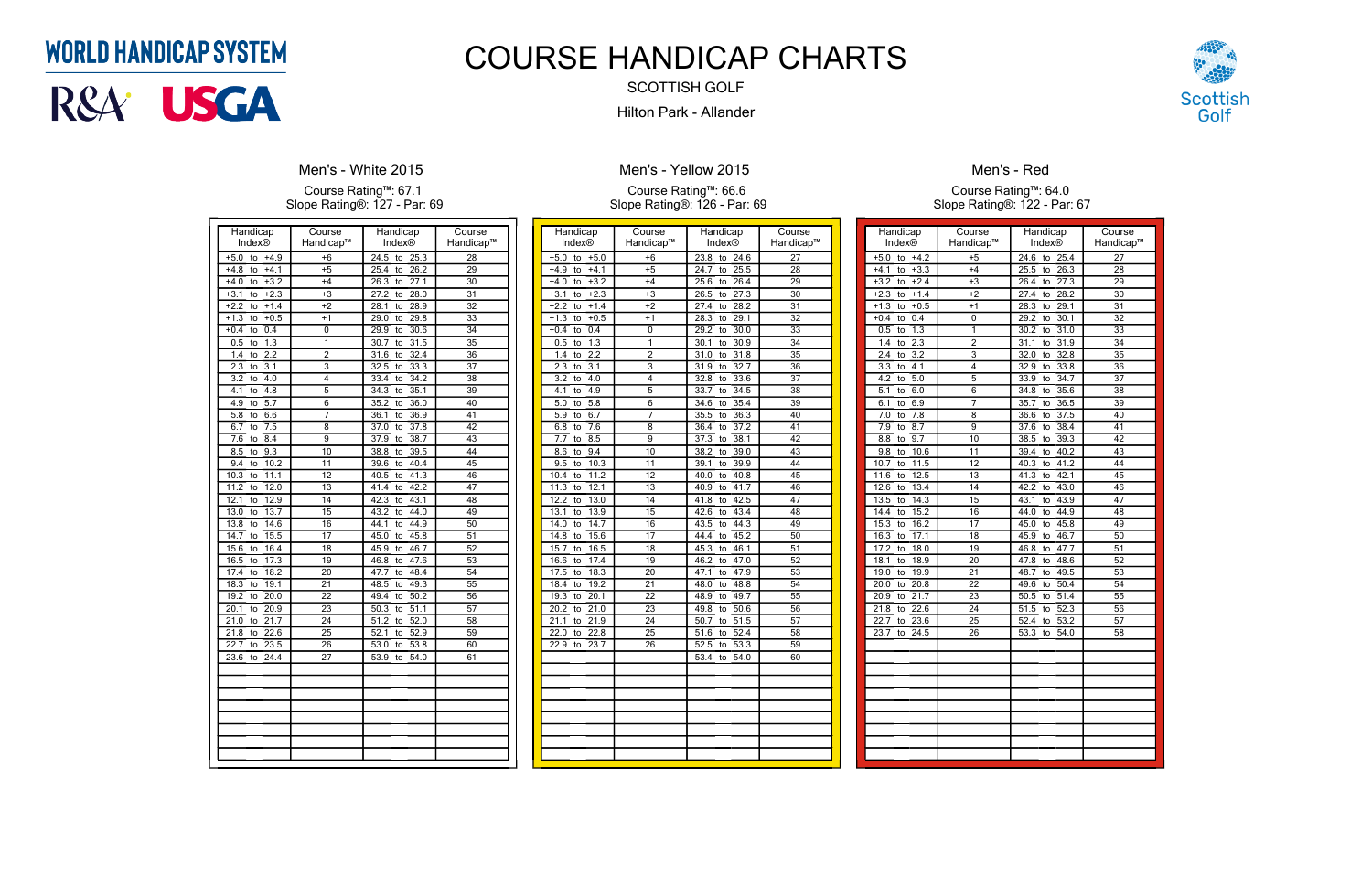| Handicap                        | Course                    | Handicap           | Course          |
|---------------------------------|---------------------------|--------------------|-----------------|
| Index®                          | Handicap™                 | Index®             | Handicap™       |
| $+5.0$<br>$+4.9$<br>to          | $+6$                      | 24.5<br>25.3<br>to | $\overline{28}$ |
| $+4.1$<br>$+4.8$<br>to          | $+5$                      | 26.2<br>25.4<br>to | $\overline{29}$ |
| $+3.2$<br>$+4.0$<br>to          | $+4$                      | 27.1<br>26.3<br>to | 30              |
| $+2.3$<br>$+3.1$<br>to          | $+3$                      | 27.2<br>28.0<br>to | 31              |
| $+2.2$<br>$+1.4$<br>to          | $+2$                      | 28.1<br>28.9<br>to | $\overline{32}$ |
| $+0.5$<br>$+1.3$<br>to          | $+1$                      | 29.0<br>29.8<br>to | 33              |
| 0.4<br>$+0.4$<br>to             | 0                         | 30.6<br>29.9<br>to | 34              |
| 1.3<br>0.5<br>to                | 1                         | 31.5<br>30.7<br>to | 35              |
| 2.2<br>1.4<br>to                | $\overline{2}$            | 31.6<br>32.4<br>to | 36              |
| 3.1<br>2.3<br>to                | $\overline{\overline{3}}$ | 32.5<br>33.3<br>to | $\overline{37}$ |
| 4.0<br>3.2<br>to                | 4                         | 34.2<br>33.4<br>to | 38              |
| 4.8<br>4.1<br>to                | 5                         | 34.3<br>35.1<br>to | 39              |
| 5.7<br>4.9<br>to                | 6                         | 35.2<br>36.0<br>to | 40              |
| 5.8<br>6.6<br>to                | 7                         | 36.9<br>36.1<br>to | 41              |
| 7.5<br>6.7<br>to                | 8                         | 37.0<br>37.8<br>to | 42              |
| 8.4<br>7.6<br>to                | $\overline{9}$            | 37.9<br>38.7<br>to | 43              |
| 9.3<br>8.5<br>to                | 10                        | 39.5<br>38.8<br>to | 44              |
| 9.4<br>10.2<br>to               | 11                        | 39.6<br>40.4<br>to | 45              |
| 11.1<br>10.3<br>to              | 12                        | 41.3<br>40.5<br>to | 46              |
| 11.2<br>12.0<br>to              | $\overline{13}$           | 42.2<br>41.4<br>to | 47              |
| 12.9<br>12.1<br>to              | 14                        | 43.1<br>42.3<br>to | 48              |
| 13.7<br>13.0<br>to              | 15                        | 44.0<br>43.2<br>to | 49              |
| 14.6<br>13.8<br>to              | 16                        | 44.9<br>44.1<br>to | 50              |
| 15.5<br>14.7<br>to              | 17                        | 45.0<br>45.8<br>to | $\overline{51}$ |
| 15.6<br>16.4<br>to              | 18                        | 45.9<br>46.7<br>to | $\overline{52}$ |
| 17.3<br>16.5<br>to              | 19                        | 47.6<br>46.8<br>to | $\overline{53}$ |
| 18.2<br>17.4<br>to              | 20                        | 48.4<br>47.7<br>to | 54              |
| 19.1<br>18.3<br>to              | 21                        | 48.5<br>49.3<br>to | $\overline{55}$ |
| 20.0<br>19.2<br>to              | $\overline{22}$           | 50.2<br>49.4<br>to | 56              |
| 20.1<br>20.9<br>to              | 23                        | 51.1<br>50.3<br>to | 57              |
| $\overline{21.7}$<br>21.0<br>to | 24                        | 52.0<br>51.2<br>to | 58              |
| 22.6<br>21.8<br>to              | 25                        | 52.9<br>52.1<br>to | 59              |
| 22.7<br>23.5<br>to              | $\overline{26}$           | 53.0<br>53.8<br>to | 60              |
| 23.6<br>24.4<br>to              | 27                        | 53.9<br>54.0<br>to | 61              |
|                                 |                           |                    |                 |
|                                 |                           |                    |                 |
|                                 |                           |                    |                 |
|                                 |                           |                    |                 |
|                                 |                           |                    |                 |
|                                 |                           |                    |                 |
|                                 |                           |                    |                 |
|                                 |                           |                    |                 |
|                                 |                           |                    |                 |

### **Men's - White 2015**

Course Rating™: 67.1 Slope Rating®: 127 - Par: 69

| Handicap                                     | Course                    | Handicap                        | Course          |
|----------------------------------------------|---------------------------|---------------------------------|-----------------|
| Index®                                       | Handicap™                 | <b>Index®</b>                   | Handicap™       |
| $+5.0$<br>to<br>$+5.0$                       | $- + 6$                   | 23.8<br>to<br>24.6              | $\overline{27}$ |
|                                              |                           |                                 |                 |
| $+4.1$<br>$+4.9$<br>to                       | $+5$                      | 25.5<br>24.7<br>to              | $\overline{28}$ |
| $+4.0$<br>$+3.2$<br>to                       | $+4$                      | 25.6<br>26.4<br>to              | 29              |
| $+2.3$<br>$+3.1$<br>to                       | $+3$                      | $\overline{27.3}$<br>26.5<br>to | 30              |
| $+2.2$<br>$+1.4$<br>to                       | $+2$                      | 28.2<br>27.4<br>to              | $\overline{31}$ |
| $+0.5$<br>$+1.3$<br>to                       | $+1$                      | 28.3<br>29.1<br>to              | 32              |
| $\overline{0.4}$<br>$+0.4$<br>to             | 0                         | 30.0<br>29.2<br>to              | 33              |
| 1.3<br>0.5<br>to                             | 1                         | 30.1<br>30.9<br>to              | 34              |
| 2.2<br>1.4<br>to                             | $\overline{2}$            | 31.8<br>31.0<br>to              | $\overline{35}$ |
| 2.3<br>$\overline{3.1}$<br>to                | $\overline{\overline{3}}$ | 32.7<br>31.9<br>to              | 36              |
| 4.0<br>3.2<br>to                             | 4                         | 33.6<br>32.8<br>to              | 37              |
| 4.1<br>4.9<br>to                             | 5                         | 34.5<br>33.7<br>to              | $\overline{38}$ |
| 5.0<br>$\overline{5.8}$<br>to                | $\overline{6}$            | 35.4<br>34.6<br>to              | 39              |
| 6.7<br>5.9<br>to                             | 7                         | 35.5<br>36.3<br>to              | 40              |
| 7.6<br>6.8<br>to                             | $\overline{\mathbf{8}}$   | 37.2<br>36.4<br>to              | 41              |
| 8.5<br>7.7<br>to                             | $\overline{9}$            | 38.1<br>37.3<br>to              | $\overline{42}$ |
| 9.4<br>8.6<br>to                             | 10                        | 38.2<br>39.0<br>to              | 43              |
| 10.3<br>9.5<br>to                            | $\overline{11}$           | 39.9<br>39.1<br>to              | 44              |
| 11.2<br>10.4<br>to                           | 12                        | 40.0<br>40.8<br>to              | 45              |
| 12.1<br>11.3<br>to                           | $\overline{13}$           | 40.9<br>41.7<br>to              | 46              |
| 13.0<br>12.2<br>to                           | 14                        | 42.5<br>41.8<br>to              | 47              |
| 13.1<br>13.9<br>to                           | 15                        | 43.4<br>42.6<br>to              | 48              |
| 14.7<br>14.0<br>to                           | 16                        | 43.5<br>44.3<br>to              | 49              |
| 15.6<br>14.8<br>to                           | 17                        | 45.2<br>44.4<br>to              | 50              |
| 15.7<br>16.5<br>to                           | $\overline{18}$           | 46.1<br>45.3<br>to              | 51              |
| 17.4<br>16.6<br>to                           | 19                        | 46.2<br>47.0<br>to              | $\overline{52}$ |
| 18.3<br>17.5<br>to                           | $\overline{20}$           | 47.9<br>47.1<br>to              | 53              |
| 18.4<br>19.2<br>to                           | 21                        | 48.8<br>48.0<br>to              | 54              |
| 19.3<br>20.1<br>to                           | 22                        | 48.9<br>49.7<br>to              | 55              |
| 21.0<br>20.2<br>to                           | 23                        | 50.6<br>49.8<br>to              | 56              |
| $\overline{21.9}$<br>$\overline{21.1}$<br>to | $\overline{24}$           | 51.5<br>50.7<br>to              | 57              |
| 22.0<br>22.8<br>to                           | 25                        | 52.4<br>51.6<br>to              | 58              |
| 22.9<br>23.7<br>to                           | 26                        | 52.5<br>53.3<br>to              | 59              |
|                                              |                           | 53.4<br>54.0<br>to              | 60              |
|                                              |                           |                                 |                 |
|                                              |                           |                                 |                 |
|                                              |                           |                                 |                 |
|                                              |                           |                                 |                 |
|                                              |                           |                                 |                 |
|                                              |                           |                                 |                 |
|                                              |                           |                                 |                 |
|                                              |                           |                                 |                 |
|                                              |                           |                                 |                 |

## **Men's - Yellow 2015**

Course Rating™: 66.6 Slope Rating®: 126 - Par: 69

| Handicap                        | Course                  | Handicap                        | Course          |
|---------------------------------|-------------------------|---------------------------------|-----------------|
| Index®                          | Handicap™               | Index®                          | Handicap™       |
| $+5.0$<br>$+4.2$<br>to          | $+5$                    | 24.6<br>25.4<br>to              | 27              |
| $+4.1$<br>$+3.3$<br>to          | $+4$                    | 25.5<br>$\overline{26.3}$<br>to | 28              |
| $+3.2$<br>$+2.4$<br>to          | $+3$                    | 27.3<br>26.4<br>to              | 29              |
| $+2.3$<br>$+1.4$<br>to          | $+2$                    | 27.4<br>28.2<br>to              | 30              |
| $+1.3$<br>$+0.5$<br>to          | $+1$                    | 28.3<br>29.1<br>to              | $\overline{31}$ |
| $+0.4$<br>0.4<br>to             | 0                       | 29.2<br>30.1<br>to              | 32              |
| 1.3<br>0.5<br>to                | 1                       | 30.2<br>31.0<br>to              | 33              |
| 2.3<br>1.4<br>to                | $\overline{2}$          | 31.1<br>31.9<br>to              | 34              |
| 2.4<br>3.2<br>to                | $\overline{3}$          | 32.8<br>32.0<br>to              | 35              |
| 3.3<br>4.1<br>to                | $\overline{4}$          | 33.8<br>32.9<br>to              | $\overline{36}$ |
| 4.2<br>5.0<br>to                | 5                       | 34.7<br>33.9<br>to              | 37              |
| 5.1<br>6.0<br>to                | 6                       | 34.8<br>35.6<br>to              | 38              |
| 6.1<br>to<br>6.9                | $\overline{7}$          | 35.7<br>36.5<br>to              | 39              |
| 7.0<br>7.8<br>to                | $\overline{\mathbf{8}}$ | 36.6<br>$\overline{37.5}$<br>to | 40              |
| 7.9<br>8.7<br>to                | 9                       | 37.6<br>38.4<br>to              | 41              |
| 9.7<br>8.8<br>to                | 10                      | 38.5<br>39.3<br>to              | 42              |
| 9.8<br>10.6<br>to               | 11                      | 39.4<br>40.2<br>to              | 43              |
| 10.7<br>to<br>11.5              | 12                      | 40.3<br>41.2<br>to              | 44              |
| 11.6<br>12.5<br>to              | 13                      | 42.1<br>41.3<br>to              | 45              |
| 12.6<br>13.4<br>to              | 14                      | 42.2<br>43.0<br>to              | 46              |
| 13.5<br>14.3<br>to              | $\overline{15}$         | 43.9<br>43.1<br>to              | 47              |
| 15.2<br>14.4<br>to              | 16                      | 44.9<br>44.0<br>to              | 48              |
| 15.3<br>16.2<br>to              | 17                      | 45.0<br>45.8<br>to              | 49              |
| 16.3<br>17.1<br>to              | 18                      | 45.9<br>46.7<br>to              | 50              |
| 17.2<br>18.0<br>to              | $\overline{19}$         | 47.7<br>46.8<br>to              | $\overline{51}$ |
| 18.1<br>18.9<br>to              | 20                      | 48.6<br>47.8<br>to              | $\overline{52}$ |
| 19.0<br>19.9<br>to              | $\overline{21}$         | 49.5<br>48.7<br>to              | 53              |
| $\overline{20.0}$<br>20.8<br>to | 22                      | 49.6<br>50.4<br>to              | 54              |
| 20.9<br>21.7<br>to              | $\overline{23}$         | 50.5<br>51.4<br>to              | $\overline{55}$ |
| 21.8<br>22.6<br>to              | 24                      | 52.3<br>51.5<br>to              | 56              |
| 22.7<br>23.6<br>to              | 25                      | 52.4<br>53.2<br>to              | 57              |
| 23.7<br>24.5<br>to              | 26                      | 53.3<br>54.0<br>to              | $\overline{58}$ |
|                                 |                         |                                 |                 |
|                                 |                         |                                 |                 |
|                                 |                         |                                 |                 |
|                                 |                         |                                 |                 |
|                                 |                         |                                 |                 |
|                                 |                         |                                 |                 |
|                                 |                         |                                 |                 |
|                                 |                         |                                 |                 |
|                                 |                         |                                 |                 |
|                                 |                         |                                 |                 |
|                                 |                         |                                 |                 |



### Men's - Red

Course Rating™: 64.0 Slope Rating®: 122 - Par: 67

## **WORLD HANDICAP SYSTEM**



# COURSE HANDICAP CHARTS

SCOTTISH GOLF Hilton Park - Allander